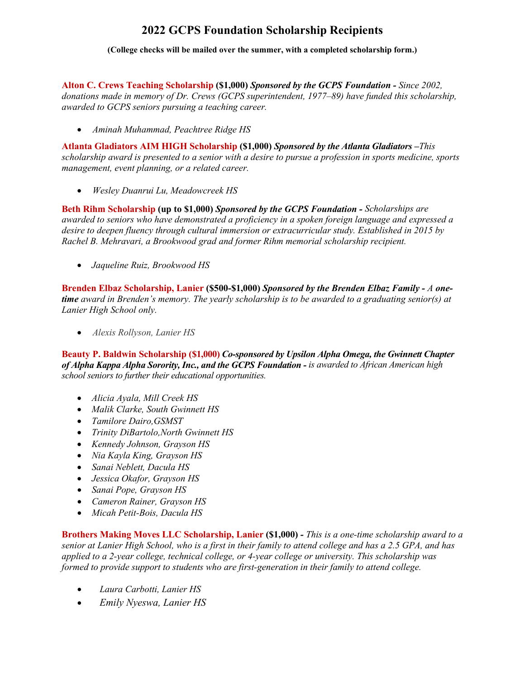## **2022 GCPS Foundation Scholarship Recipients**

**(College checks will be mailed over the summer, with a completed scholarship form.)**

**Alton C. Crews Teaching Scholarship (\$1,000)** *Sponsored by the GCPS Foundation - Since 2002, donations made in memory of Dr. Crews (GCPS superintendent, 1977–89) have funded this scholarship, awarded to GCPS seniors pursuing a teaching career.*

• *Aminah Muhammad, Peachtree Ridge HS*

**Atlanta Gladiators AIM HIGH Scholarship (\$1,000)** *Sponsored by the Atlanta Gladiators –This scholarship award is presented to a senior with a desire to pursue a profession in sports medicine, sports management, event planning, or a related career.* 

• *Wesley Duanrui Lu, Meadowcreek HS*

**Beth Rihm Scholarship (up to \$1,000)** *Sponsored by the GCPS Foundation - Scholarships are awarded to seniors who have demonstrated a proficiency in a spoken foreign language and expressed a desire to deepen fluency through cultural immersion or extracurricular study. Established in 2015 by Rachel B. Mehravari, a Brookwood grad and former Rihm memorial scholarship recipient.*

• *Jaqueline Ruiz, Brookwood HS*

**Brenden Elbaz Scholarship, Lanier (\$500-\$1,000)** *Sponsored by the Brenden Elbaz Family - A onetime award in Brenden's memory. The yearly scholarship is to be awarded to a graduating senior(s) at Lanier High School only.*

• *Alexis Rollyson, Lanier HS*

**Beauty P. Baldwin Scholarship (\$1,000)** *Co-sponsored by Upsilon Alpha Omega, the Gwinnett Chapter of Alpha Kappa Alpha Sorority, Inc., and the GCPS Foundation - is awarded to African American high school seniors to further their educational opportunities.*

- *Alicia Ayala, Mill Creek HS*
- *Malik Clarke, South Gwinnett HS*
- *Tamilore Dairo,GSMST*
- *Trinity DiBartolo,North Gwinnett HS*
- *Kennedy Johnson, Grayson HS*
- *Nia Kayla King, Grayson HS*
- *Sanai Neblett, Dacula HS*
- *Jessica Okafor, Grayson HS*
- *Sanai Pope, Grayson HS*
- *Cameron Rainer, Grayson HS*
- *Micah Petit-Bois, Dacula HS*

**Brothers Making Moves LLC Scholarship, Lanier (\$1,000)** *- This is a one-time scholarship award to a senior at Lanier High School, who is a first in their family to attend college and has a 2.5 GPA, and has applied to a 2-year college, technical college, or 4-year college or university. This scholarship was formed to provide support to students who are first-generation in their family to attend college.*

- *Laura Carbotti, Lanier HS*
- • *Emily Nyeswa, Lanier HS*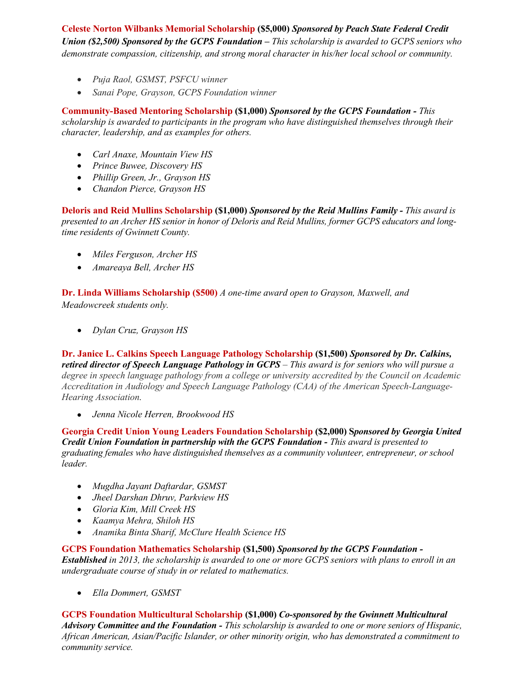**Celeste Norton Wilbanks Memorial Scholarship (\$5,000)** *Sponsored by Peach State Federal Credit Union (\$2,500) Sponsored by the GCPS Foundation – This scholarship is awarded to GCPS seniors who demonstrate compassion, citizenship, and strong moral character in his/her local school or community.*

- *Puja Raol, GSMST, PSFCU winner*
- *Sanai Pope, Grayson, GCPS Foundation winner*

**Community-Based Mentoring Scholarship (\$1,000)** *Sponsored by the GCPS Foundation - This scholarship is awarded to participants in the program who have distinguished themselves through their character, leadership, and as examples for others.* 

- *Carl Anaxe, Mountain View HS*
- *Prince Buwee, Discovery HS*
- *Phillip Green, Jr., Grayson HS*
- *Chandon Pierce, Grayson HS*

**Deloris and Reid Mullins Scholarship (\$1,000)** *Sponsored by the Reid Mullins Family - This award is presented to an Archer HS senior in honor of Deloris and Reid Mullins, former GCPS educators and longtime residents of Gwinnett County.*

- *Miles Ferguson, Archer HS*
- *Amareaya Bell, Archer HS*

**Dr. Linda Williams Scholarship (\$500)** *A one-time award open to Grayson, Maxwell, and Meadowcreek students only.*

• *Dylan Cruz, Grayson HS*

**Dr. Janice L. Calkins Speech Language Pathology Scholarship (\$1,500)** *Sponsored by Dr. Calkins, retired director of Speech Language Pathology in GCPS – This award is for seniors who will pursue a degree in speech language pathology from a college or university accredited by the Council on Academic Accreditation in Audiology and Speech Language Pathology (CAA) of the American Speech-Language-Hearing Association.*

• *Jenna Nicole Herren, Brookwood HS*

**Georgia Credit Union Young Leaders Foundation Scholarship (\$2,000) S***ponsored by Georgia United Credit Union Foundation in partnership with the GCPS Foundation - This award is presented to graduating females who have distinguished themselves as a community volunteer, entrepreneur, or school leader.*

- *Mugdha Jayant Daftardar, GSMST*
- *Jheel Darshan Dhruv, Parkview HS*
- *Gloria Kim, Mill Creek HS*
- *Kaamya Mehra, Shiloh HS*
- *Anamika Binta Sharif, McClure Health Science HS*

**GCPS Foundation Mathematics Scholarship (\$1,500)** *Sponsored by the GCPS Foundation -*

*Established in 2013, the scholarship is awarded to one or more GCPS seniors with plans to enroll in an undergraduate course of study in or related to mathematics.* 

• *Ella Dommert, GSMST*

**GCPS Foundation Multicultural Scholarship (\$1,000)** *Co-sponsored by the Gwinnett Multicultural Advisory Committee and the Foundation - This scholarship is awarded to one or more seniors of Hispanic, African American, Asian/Pacific Islander, or other minority origin, who has demonstrated a commitment to community service.*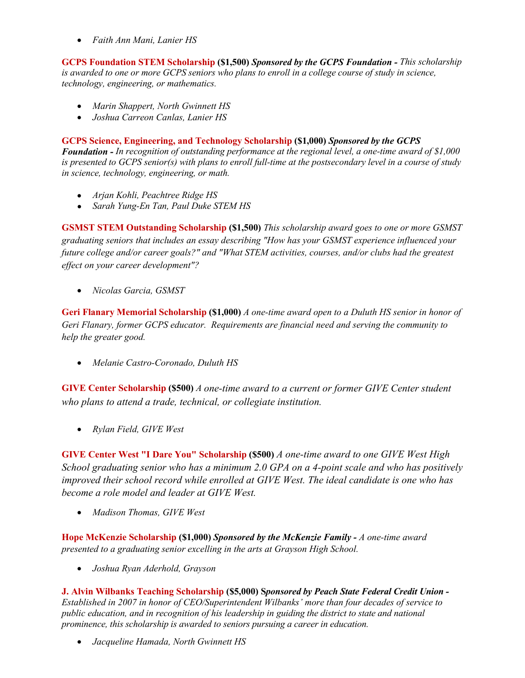• *Faith Ann Mani, Lanier HS*

**GCPS Foundation STEM Scholarship (\$1,500)** *Sponsored by the GCPS Foundation - This scholarship is awarded to one or more GCPS seniors who plans to enroll in a college course of study in science, technology, engineering, or mathematics.*

- *Marin Shappert, North Gwinnett HS*
- *Joshua Carreon Canlas, Lanier HS*

**GCPS Science, Engineering, and Technology Scholarship (\$1,000)** *Sponsored by the GCPS* 

*Foundation - In recognition of outstanding performance at the regional level, a one-time award of \$1,000 is presented to GCPS senior(s) with plans to enroll full-time at the postsecondary level in a course of study in science, technology, engineering, or math.*

- *Arjan Kohli, Peachtree Ridge HS*
- *Sarah Yung-En Tan, Paul Duke STEM HS*

**GSMST STEM Outstanding Scholarship (\$1,500)** *This scholarship award goes to one or more GSMST graduating seniors that includes an essay describing "How has your GSMST experience influenced your future college and/or career goals?" and "What STEM activities, courses, and/or clubs had the greatest effect on your career development"?*

• *Nicolas Garcia, GSMST*

**Geri Flanary Memorial Scholarship (\$1,000)** *A one-time award open to a Duluth HS senior in honor of Geri Flanary, former GCPS educator. Requirements are financial need and serving the community to help the greater good.*

• *Melanie Castro-Coronado, Duluth HS*

**GIVE Center Scholarship (\$500)** *A one-time award to a current or former GIVE Center student who plans to attend a trade, technical, or collegiate institution.*

• *Rylan Field, GIVE West*

**GIVE Center West "I Dare You" Scholarship (\$500)** *A one-time award to one GIVE West High School graduating senior who has a minimum 2.0 GPA on a 4-point scale and who has positively improved their school record while enrolled at GIVE West. The ideal candidate is one who has become a role model and leader at GIVE West.*

• *Madison Thomas, GIVE West*

**Hope McKenzie Scholarship (\$1,000)** *Sponsored by the McKenzie Family - A one-time award presented to a graduating senior excelling in the arts at Grayson High School.* 

• *Joshua Ryan Aderhold, Grayson*

**J. Alvin Wilbanks Teaching Scholarship (\$5,000) S***ponsored by Peach State Federal Credit Union - Established in 2007 in honor of CEO/Superintendent Wilbanks' more than four decades of service to public education, and in recognition of his leadership in guiding the district to state and national prominence, this scholarship is awarded to seniors pursuing a career in education.*

• *Jacqueline Hamada, North Gwinnett HS*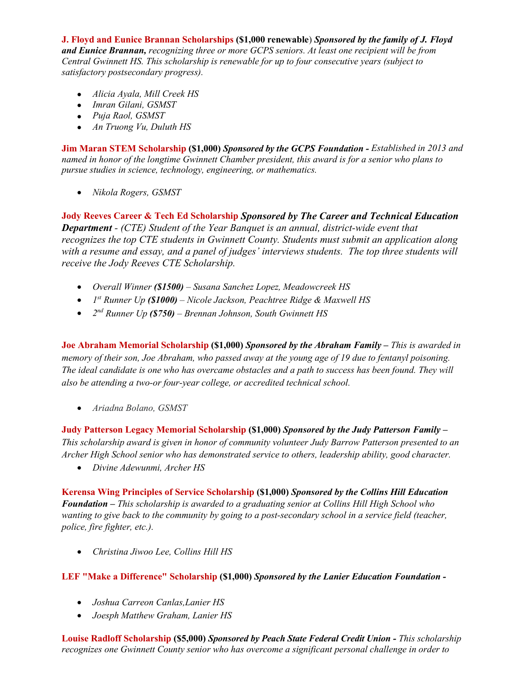**J. Floyd and Eunice Brannan Scholarships (\$1,000 renewable**) *Sponsored by the family of J. Floyd and Eunice Brannan, recognizing three or more GCPS seniors. At least one recipient will be from Central Gwinnett HS. This scholarship is renewable for up to four consecutive years (subject to satisfactory postsecondary progress).*

- *Alicia Ayala, Mill Creek HS*
- *Imran Gilani, GSMST*
- *Puja Raol, GSMST*
- *An Truong Vu, Duluth HS*

**Jim Maran STEM Scholarship (\$1,000)** *Sponsored by the GCPS Foundation - Established in 2013 and named in honor of the longtime Gwinnett Chamber president, this award is for a senior who plans to pursue studies in science, technology, engineering, or mathematics.* 

• *Nikola Rogers, GSMST*

**Jody Reeves Career & Tech Ed Scholarship** *Sponsored by The Career and Technical Education Department - (CTE) Student of the Year Banquet is an annual, district-wide event that recognizes the top CTE students in Gwinnett County. Students must submit an application along with a resume and essay, and a panel of judges' interviews students. The top three students will receive the Jody Reeves CTE Scholarship.*

- *Overall Winner (\$1500) – Susana Sanchez Lopez, Meadowcreek HS*
- *1st Runner Up (\$1000) – Nicole Jackson, Peachtree Ridge & Maxwell HS*
- *2nd Runner Up (\$750) Brennan Johnson, South Gwinnett HS*

**Joe Abraham Memorial Scholarship (\$1,000)** *Sponsored by the Abraham Family – This is awarded in memory of their son, Joe Abraham, who passed away at the young age of 19 due to fentanyl poisoning. The ideal candidate is one who has overcame obstacles and a path to success has been found. They will also be attending a two-or four-year college, or accredited technical school.*

• *Ariadna Bolano, GSMST*

**Judy Patterson Legacy Memorial Scholarship (\$1,000)** *Sponsored by the Judy Patterson Family – This scholarship award is given in honor of community volunteer Judy Barrow Patterson presented to an Archer High School senior who has demonstrated service to others, leadership ability, good character.*

• *Divine Adewunmi, Archer HS*

**Kerensa Wing Principles of Service Scholarship (\$1,000)** *Sponsored by the Collins Hill Education Foundation – This scholarship is awarded to a graduating senior at Collins Hill High School who wanting to give back to the community by going to a post-secondary school in a service field (teacher, police, fire fighter, etc.).*

• *Christina Jiwoo Lee, Collins Hill HS*

## **LEF "Make a Difference" Scholarship (\$1,000)** *Sponsored by the Lanier Education Foundation -*

- *Joshua Carreon Canlas,Lanier HS*
- *Joesph Matthew Graham, Lanier HS*

**Louise Radloff Scholarship (\$5,000)** *Sponsored by Peach State Federal Credit Union - This scholarship recognizes one Gwinnett County senior who has overcome a significant personal challenge in order to*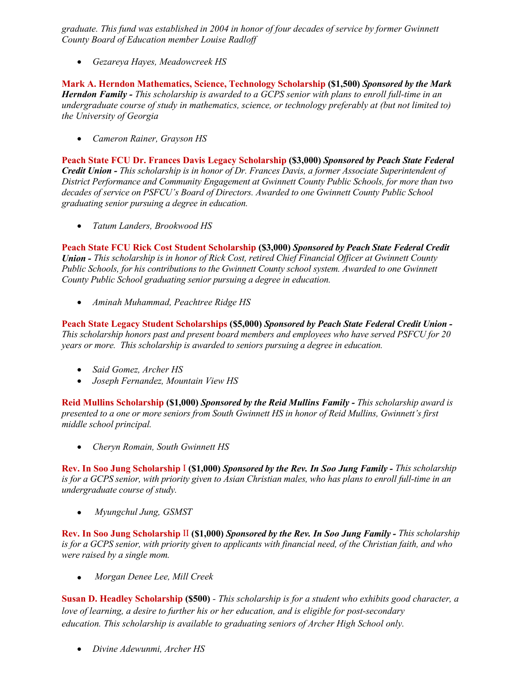*graduate. This fund was established in 2004 in honor of four decades of service by former Gwinnett County Board of Education member Louise Radloff*

• *Gezareya Hayes, Meadowcreek HS*

**Mark A. Herndon Mathematics, Science, Technology Scholarship (\$1,500)** *Sponsored by the Mark Herndon Family - This scholarship is awarded to a GCPS senior with plans to enroll full-time in an undergraduate course of study in mathematics, science, or technology preferably at (but not limited to) the University of Georgia* 

• *Cameron Rainer, Grayson HS*

**Peach State FCU Dr. Frances Davis Legacy Scholarship (\$3,000)** *Sponsored by Peach State Federal Credit Union - This scholarship is in honor of Dr. Frances Davis, a former Associate Superintendent of District Performance and Community Engagement at Gwinnett County Public Schools, for more than two decades of service on PSFCU's Board of Directors. Awarded to one Gwinnett County Public School graduating senior pursuing a degree in education.*

• *Tatum Landers, Brookwood HS*

**Peach State FCU Rick Cost Student Scholarship (\$3,000)** *Sponsored by Peach State Federal Credit Union - This scholarship is in honor of Rick Cost, retired Chief Financial Officer at Gwinnett County Public Schools, for his contributions to the Gwinnett County school system. Awarded to one Gwinnett County Public School graduating senior pursuing a degree in education.*

• *Aminah Muhammad, Peachtree Ridge HS*

**Peach State Legacy Student Scholarships (\$5,000)** *Sponsored by Peach State Federal Credit Union - This scholarship honors past and present board members and employees who have served PSFCU for 20 years or more. This scholarship is awarded to seniors pursuing a degree in education.*

- *Said Gomez, Archer HS*
- *Joseph Fernandez, Mountain View HS*

**Reid Mullins Scholarship (\$1,000)** *Sponsored by the Reid Mullins Family - This scholarship award is presented to a one or more seniors from South Gwinnett HS in honor of Reid Mullins, Gwinnett's first middle school principal.*

• *Cheryn Romain, South Gwinnett HS*

**Rev. In Soo Jung Scholarship** I **(\$1,000)** *Sponsored by the Rev. In Soo Jung Family - This scholarship is for a GCPS senior, with priority given to Asian Christian males, who has plans to enroll full-time in an undergraduate course of study.* 

• *Myungchul Jung, GSMST*

**Rev. In Soo Jung Scholarship** II **(\$1,000)** *Sponsored by the Rev. In Soo Jung Family - This scholarship is for a GCPS senior, with priority given to applicants with financial need, of the Christian faith, and who were raised by a single mom.* 

• *Morgan Denee Lee, Mill Creek*

**Susan D. Headley Scholarship (\$500)** *- This scholarship is for a student who exhibits good character, a love of learning, a desire to further his or her education, and is eligible for post-secondary education. This scholarship is available to graduating seniors of Archer High School only.*

• *Divine Adewunmi, Archer HS*